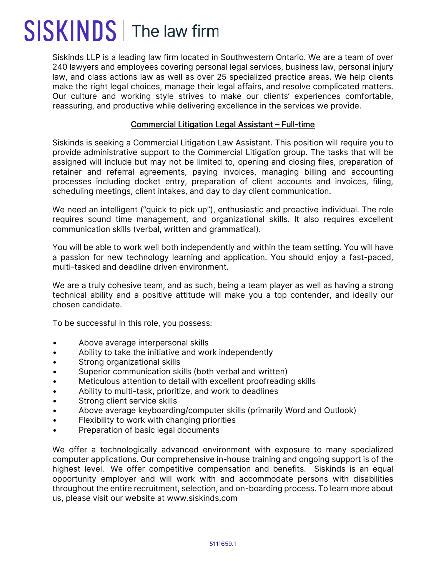## SISKINDS | The law firm

Siskinds LLP is a leading law firm located in Southwestern Ontario. We are a team of over 240 lawyers and employees covering personal legal services, business law, personal injury law, and class actions law as well as over 25 specialized practice areas. We help clients make the right legal choices, manage their legal affairs, and resolve complicated matters. Our culture and working style strives to make our clients' experiences comfortable, reassuring, and productive while delivering excellence in the services we provide.

## Commercial Litigation Legal Assistant – Full-time

Siskinds is seeking a Commercial Litigation Law Assistant. This position will require you to provide administrative support to the Commercial Litigation group. The tasks that will be assigned will include but may not be limited to, opening and closing files, preparation of retainer and referral agreements, paying invoices, managing billing and accounting processes including docket entry, preparation of client accounts and invoices, filing, scheduling meetings, client intakes, and day to day client communication.

We need an intelligent ("quick to pick up"), enthusiastic and proactive individual. The role requires sound time management, and organizational skills. It also requires excellent communication skills (verbal, written and grammatical).

You will be able to work well both independently and within the team setting. You will have a passion for new technology learning and application. You should enjoy a fast-paced, multi-tasked and deadline driven environment.

We are a truly cohesive team, and as such, being a team player as well as having a strong technical ability and a positive attitude will make you a top contender, and ideally our chosen candidate.

To be successful in this role, you possess:

- Above average interpersonal skills
- Ability to take the initiative and work independently
- Strong organizational skills
- Superior communication skills (both verbal and written)
- Meticulous attention to detail with excellent proofreading skills
- Ability to multi-task, prioritize, and work to deadlines
- Strong client service skills
- Above average keyboarding/computer skills (primarily Word and Outlook)
- Flexibility to work with changing priorities
- Preparation of basic legal documents

We offer a technologically advanced environment with exposure to many specialized computer applications. Our comprehensive in-house training and ongoing support is of the highest level. We offer competitive compensation and benefits. Siskinds is an equal opportunity employer and will work with and accommodate persons with disabilities throughout the entire recruitment, selection, and on-boarding process. To learn more about us, please visit our website at www.siskinds.com